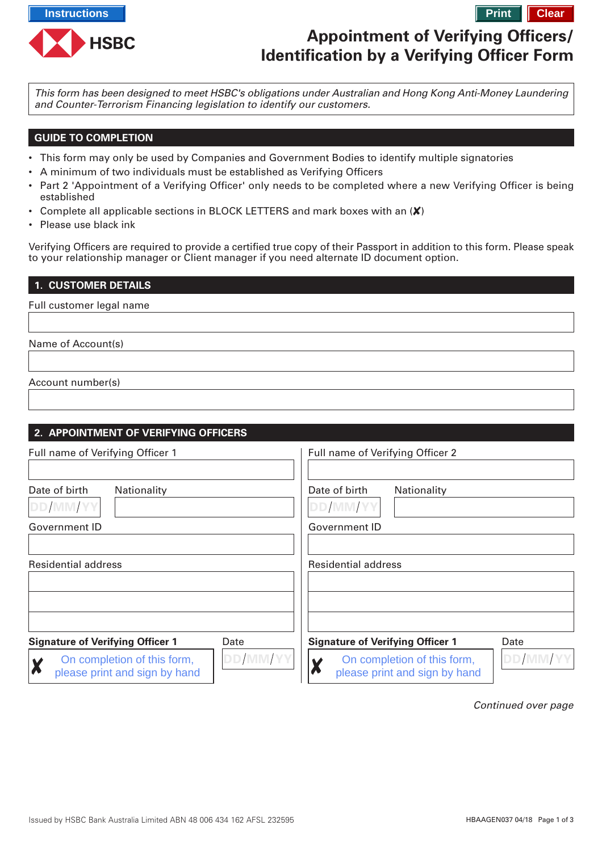

# **Appointment of Verifying Officers/ Identification by a Verifying Officer Form**

This form has been designed to meet HSBC's obligations under Australian and Hong Kong Anti-Money Laundering and Counter-Terrorism Financing legislation to identify our customers.

# **GUIDE TO COMPLETION**

- This form may only be used by Companies and Government Bodies to identify multiple signatories
- A minimum of two individuals must be established as Verifying Officers
- Part 2 'Appointment of a Verifying Officer' only needs to be completed where a new Verifying Officer is being established
- Complete all applicable sections in BLOCK LETTERS and mark boxes with an  $(X)$
- Please use black ink

Verifying Officers are required to provide a certified true copy of their [Passport in addition to this form. Please speak](https://www.hsbc.com.au/1/PA_ES_Content_Mgmt/content/australia/common/pdf/commercial/cmb-corp-id-check.pdf) [to your relationship](https://www.hsbc.com.au/1/PA_ES_Content_Mgmt/content/australia/common/pdf/commercial/cmb-corp-id-check.pdf) manager or Client manager if you need alternate ID document option.

#### **1. CUSTOMER DETAILS**

Full customer legal name

Name of Account(s)

Account number(s)

#### **2. APPOINTMENT OF VERIFYING OFFICERS** Full name of Verifying Officer 1 Full name of Verifying Officer 2 Date of birth Nationality Date of birth **Nationality DD MM YY DD MM YY** Government ID Government ID Residential address Residential address **Signature of Verifying Officer 1** Date **Signature of Verifying Officer 1** Date **DD MM YY DD MM YY** On completion of this form, On completion of this form, Χ please print and sign by hand please print and sign by hand

Continued over page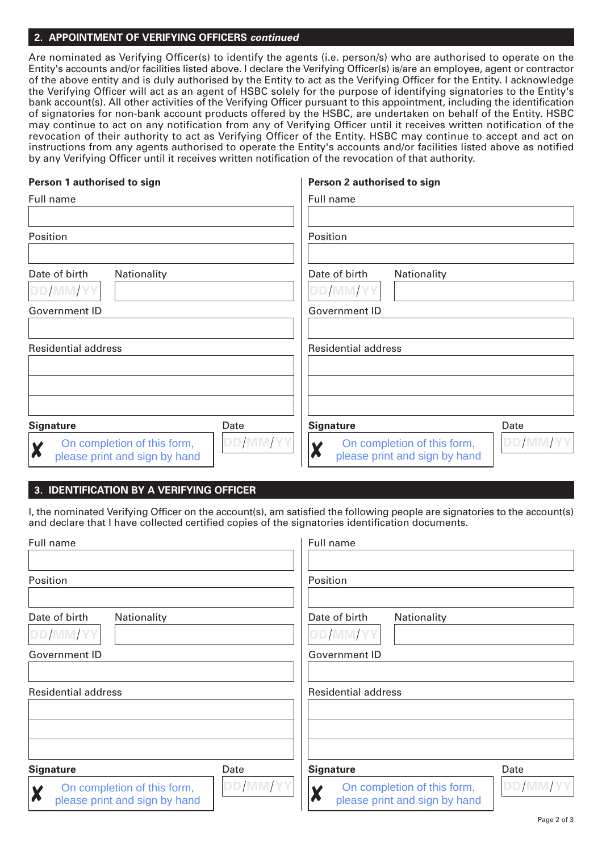## **2. APPOINTMENT OF VERIFYING OFFICERS continued**

Are nominated as Verifying Officer(s) to identify the agents (i.e. person/s) who are authorised to operate on the Entity's accounts and/or facilities listed above. I declare the Verifying Officer(s) is/are an employee, agent or contractor of the above entity and is duly authorised by the Entity to act as the Verifying Officer for the Entity. I acknowledge the Verifying Officer will act as an agent of HSBC solely for the purpose of identifying signatories to the Entity's bank account(s). All other activities of the Verifying Officer pursuant to this appointment, including the identification of signatories for non-bank account products offered by the HSBC, are undertaken on behalf of the Entity. HSBC may continue to act on any notification from any of Verifying Officer until it receives written notification of the revocation of their authority to act as Verifying Officer of the Entity. HSBC may continue to accept and act on instructions from any agents authorised to operate the Entity's accounts and/or facilities listed above as notified by any Verifying Officer until it receives written notification of the revocation of that authority.

### **Person 1 authorised to sign**

#### **Person 2 authorised to sign**

| Full name                                                         |          | Full name                                                    |          |
|-------------------------------------------------------------------|----------|--------------------------------------------------------------|----------|
|                                                                   |          |                                                              |          |
| Position                                                          |          | Position                                                     |          |
|                                                                   |          |                                                              |          |
| Date of birth<br>Nationality                                      |          | Date of birth<br>Nationality                                 |          |
| DD/MM/YY                                                          |          | DD/MM/YY                                                     |          |
| Government ID                                                     |          | Government ID                                                |          |
|                                                                   |          |                                                              |          |
| <b>Residential address</b>                                        |          | <b>Residential address</b>                                   |          |
|                                                                   |          |                                                              |          |
|                                                                   |          |                                                              |          |
|                                                                   |          |                                                              |          |
| <b>Signature</b>                                                  | Date     | <b>Signature</b>                                             | Date     |
| On completion of this form,<br>X<br>please print and sign by hand | DD/MM/YY | On completion of this form,<br>please print and sign by hand | DD/MM/YY |

# **3. IDENTIFICATION BY A VERIFYING OFFICER**

I, the nominated Verifying Officer on the account(s), am satisfied the following people are signatories to the account(s) and declare that I have collected certified copies of the signatories identification documents.

| Full name                                                                        |          | Full name                                                    |          |
|----------------------------------------------------------------------------------|----------|--------------------------------------------------------------|----------|
|                                                                                  |          |                                                              |          |
| Position                                                                         |          | Position                                                     |          |
|                                                                                  |          |                                                              |          |
| Date of birth<br>Nationality                                                     |          | Date of birth<br>Nationality                                 |          |
| DD/MM/YY                                                                         |          | DD/MM/YY                                                     |          |
| <b>Government ID</b>                                                             |          | <b>Government ID</b>                                         |          |
|                                                                                  |          |                                                              |          |
| <b>Residential address</b>                                                       |          | <b>Residential address</b>                                   |          |
|                                                                                  |          |                                                              |          |
|                                                                                  |          |                                                              |          |
|                                                                                  |          |                                                              |          |
| <b>Signature</b>                                                                 | Date     | <b>Signature</b>                                             | Date     |
| On completion of this form,<br>$\boldsymbol{X}$<br>please print and sign by hand | DD/MM/YY | On completion of this form,<br>please print and sign by hand | DD/MM/YY |